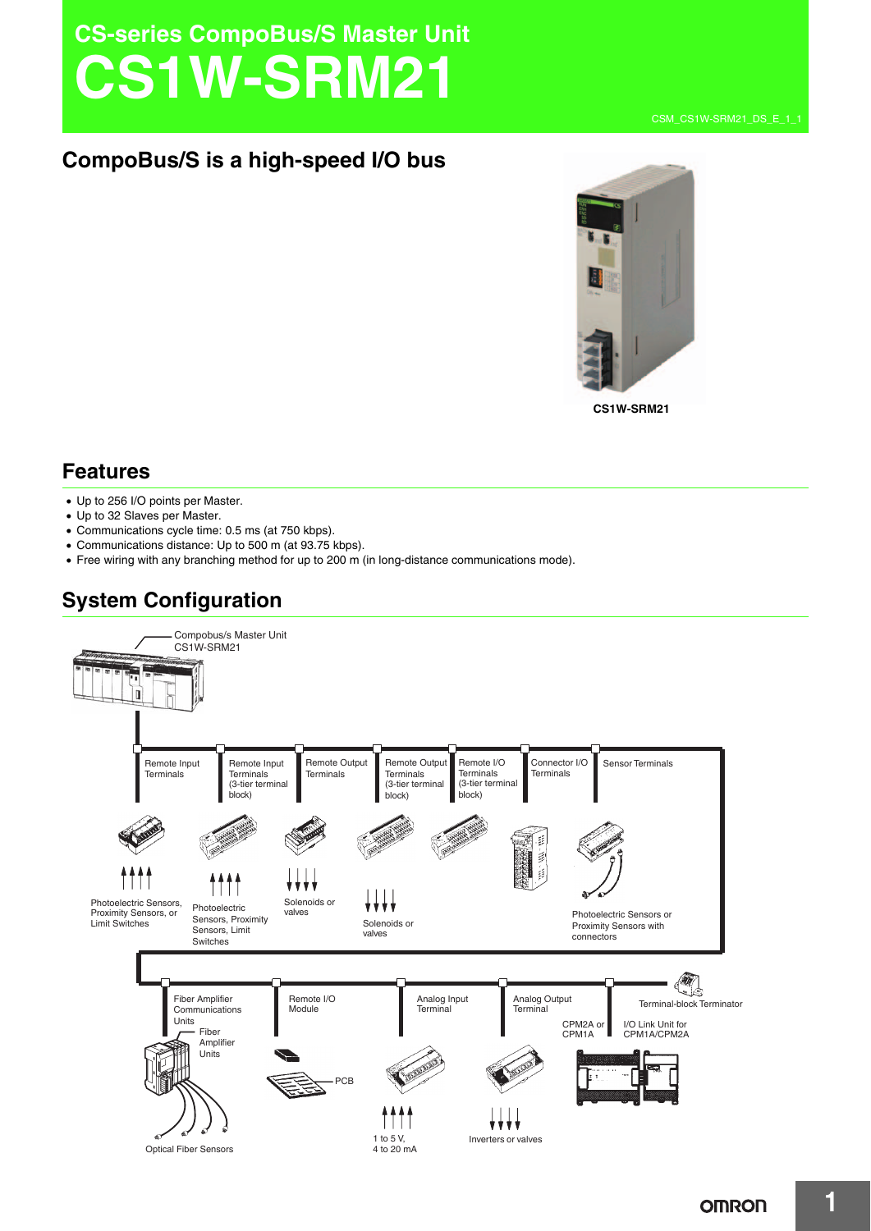# **CS-series CompoBus/S Master Unit CS1W-SRM21**



**CS1W-SRM21**

## **Features**

- Up to 256 I/O points per Master.
- Up to 32 Slaves per Master.
- Communications cycle time: 0.5 ms (at 750 kbps).
- Communications distance: Up to 500 m (at 93.75 kbps).
- Free wiring with any branching method for up to 200 m (in long-distance communications mode).

# **System Configuration**

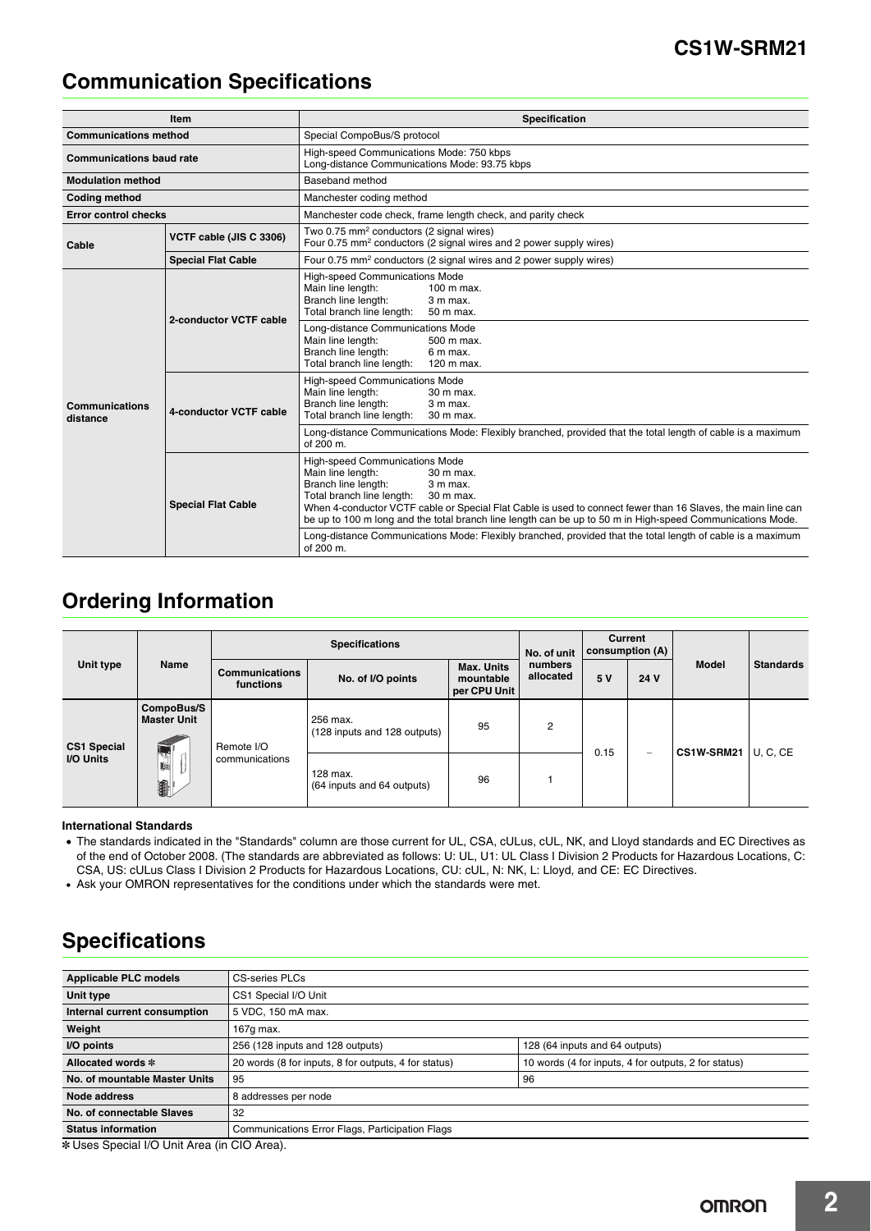# **Communication Specifications**

| Item                             |                           | <b>Specification</b>                                                                                                                                                                                                                                                                                                                                                                                                                                                                            |  |  |  |  |
|----------------------------------|---------------------------|-------------------------------------------------------------------------------------------------------------------------------------------------------------------------------------------------------------------------------------------------------------------------------------------------------------------------------------------------------------------------------------------------------------------------------------------------------------------------------------------------|--|--|--|--|
| <b>Communications method</b>     |                           | Special CompoBus/S protocol                                                                                                                                                                                                                                                                                                                                                                                                                                                                     |  |  |  |  |
| <b>Communications baud rate</b>  |                           | High-speed Communications Mode: 750 kbps<br>Long-distance Communications Mode: 93.75 kbps                                                                                                                                                                                                                                                                                                                                                                                                       |  |  |  |  |
| <b>Modulation method</b>         |                           | Baseband method                                                                                                                                                                                                                                                                                                                                                                                                                                                                                 |  |  |  |  |
| <b>Coding method</b>             |                           | Manchester coding method                                                                                                                                                                                                                                                                                                                                                                                                                                                                        |  |  |  |  |
| <b>Error control checks</b>      |                           | Manchester code check, frame length check, and parity check                                                                                                                                                                                                                                                                                                                                                                                                                                     |  |  |  |  |
| VCTF cable (JIS C 3306)<br>Cable |                           | Two 0.75 mm <sup>2</sup> conductors (2 signal wires)<br>Four 0.75 mm <sup>2</sup> conductors (2 signal wires and 2 power supply wires)                                                                                                                                                                                                                                                                                                                                                          |  |  |  |  |
|                                  | <b>Special Flat Cable</b> | Four 0.75 mm <sup>2</sup> conductors (2 signal wires and 2 power supply wires)                                                                                                                                                                                                                                                                                                                                                                                                                  |  |  |  |  |
| Communications<br>distance       | 2-conductor VCTF cable    | <b>High-speed Communications Mode</b><br>Main line length:<br>100 m max.<br>Branch line length:<br>3 m max.<br>Total branch line length:<br>50 m max.                                                                                                                                                                                                                                                                                                                                           |  |  |  |  |
|                                  |                           | Long-distance Communications Mode<br>Main line length:<br>500 m max.<br>Branch line length:<br>6 m max.<br>Total branch line length:<br>120 m max.                                                                                                                                                                                                                                                                                                                                              |  |  |  |  |
|                                  | 4-conductor VCTF cable    | <b>High-speed Communications Mode</b><br>Main line length:<br>30 m max.<br>Branch line length:<br>3 m max.<br>Total branch line length:<br>30 m max.                                                                                                                                                                                                                                                                                                                                            |  |  |  |  |
|                                  |                           | Long-distance Communications Mode: Flexibly branched, provided that the total length of cable is a maximum<br>of 200 m.                                                                                                                                                                                                                                                                                                                                                                         |  |  |  |  |
|                                  | <b>Special Flat Cable</b> | <b>High-speed Communications Mode</b><br>Main line length:<br>30 m max.<br>Branch line length:<br>3 m max.<br>Total branch line length:<br>30 m max.<br>When 4-conductor VCTF cable or Special Flat Cable is used to connect fewer than 16 Slaves, the main line can<br>be up to 100 m long and the total branch line length can be up to 50 m in High-speed Communications Mode.<br>Long-distance Communications Mode: Flexibly branched, provided that the total length of cable is a maximum |  |  |  |  |
|                                  |                           | of 200 m.                                                                                                                                                                                                                                                                                                                                                                                                                                                                                       |  |  |  |  |

# **Ordering Information**

| Unit type                       | Name                                        | <b>Specifications</b>              |                                          |                                                | No. of unit          | Current<br>consumption (A) |                 |              |                  |
|---------------------------------|---------------------------------------------|------------------------------------|------------------------------------------|------------------------------------------------|----------------------|----------------------------|-----------------|--------------|------------------|
|                                 |                                             | <b>Communications</b><br>functions | No. of I/O points                        | <b>Max. Units</b><br>mountable<br>per CPU Unit | numbers<br>allocated | 5 V                        | 24 V            | <b>Model</b> | <b>Standards</b> |
| <b>CS1 Special</b><br>I/O Units | CompoBus/S<br><b>Master Unit</b><br>西峰<br>1 | Remote I/O<br>communications       | 256 max.<br>(128 inputs and 128 outputs) | 95                                             | 2                    | 0.15                       | $\qquad \qquad$ | CS1W-SRM21   | U, C, CE         |
|                                 |                                             |                                    | 128 max.<br>(64 inputs and 64 outputs)   | 96                                             |                      |                            |                 |              |                  |

#### **International Standards**

• The standards indicated in the "Standards" column are those current for UL, CSA, cULus, cUL, NK, and Lloyd standards and EC Directives as of the end of October 2008. (The standards are abbreviated as follows: U: UL, U1: UL Class I Division 2 Products for Hazardous Locations, C: CSA, US: cULus Class I Division 2 Products for Hazardous Locations, CU: cUL, N: NK, L: Lloyd, and CE: EC Directives.

• Ask your OMRON representatives for the conditions under which the standards were met.

# **Specifications**

| <b>Applicable PLC models</b>                                  | <b>CS-series PLCs</b>                                |                                                      |
|---------------------------------------------------------------|------------------------------------------------------|------------------------------------------------------|
| Unit type                                                     | CS1 Special I/O Unit                                 |                                                      |
| Internal current consumption                                  | 5 VDC, 150 mA max.                                   |                                                      |
| Weight                                                        | 167 $g$ max.                                         |                                                      |
| I/O points                                                    | 256 (128 inputs and 128 outputs)                     | 128 (64 inputs and 64 outputs)                       |
| Allocated words *                                             | 20 words (8 for inputs, 8 for outputs, 4 for status) | 10 words (4 for inputs, 4 for outputs, 2 for status) |
| No. of mountable Master Units                                 | 95                                                   | 96                                                   |
| Node address                                                  | 8 addresses per node                                 |                                                      |
| No. of connectable Slaves                                     | 32                                                   |                                                      |
| <b>Status information</b>                                     | Communications Error Flags, Participation Flags      |                                                      |
| $\cdots$ $\sim$ $\cdots$ $\sim$ $\sim$ $\sim$ $\sim$ $\cdots$ |                                                      |                                                      |

\* Uses Special I/O Unit Area (in CIO Area).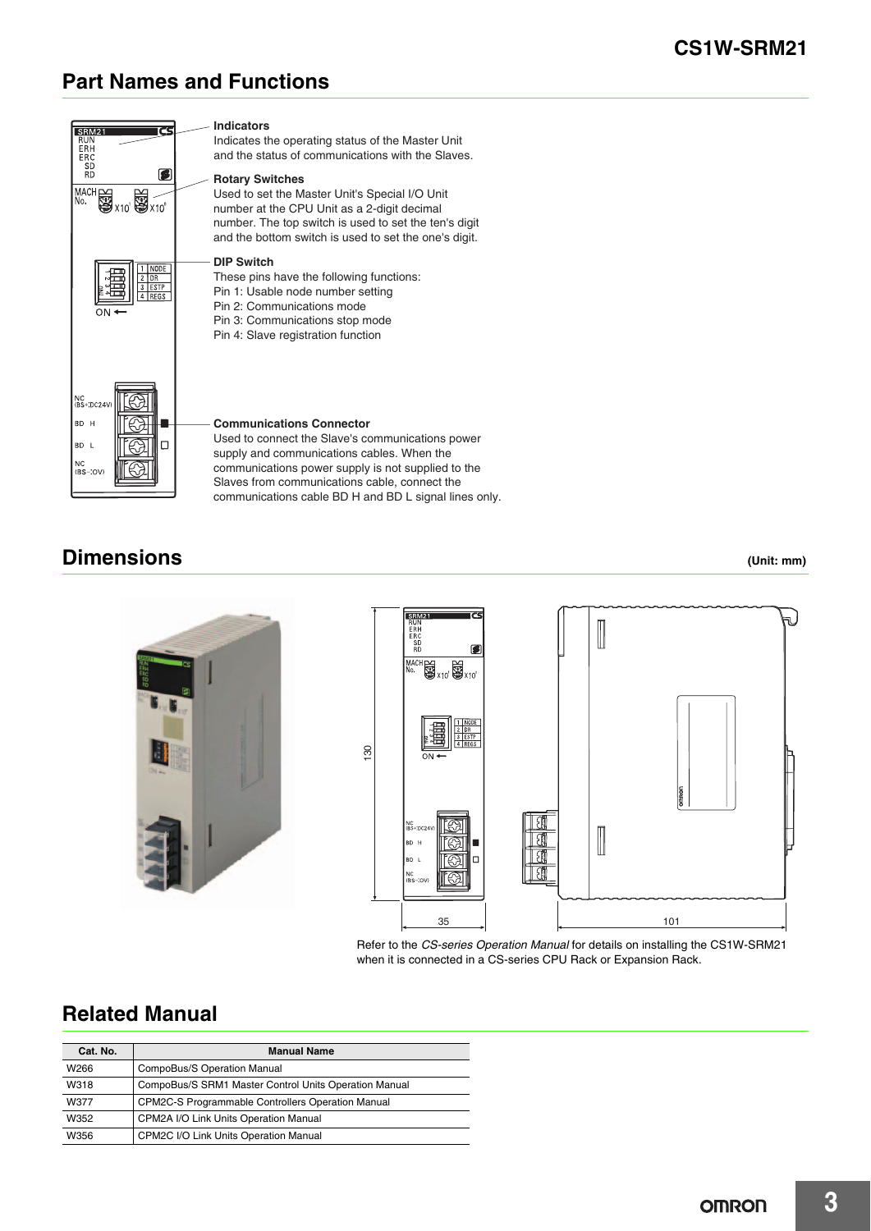# **Part Names and Functions**



## **Dimensions (Unit: mm)**





Refer to the *CS-series Operation Manual* for details on installing the CS1W-SRM21 when it is connected in a CS-series CPU Rack or Expansion Rack.

# **Related Manual**

| Cat. No. | <b>Manual Name</b>                                    |
|----------|-------------------------------------------------------|
| W266     | CompoBus/S Operation Manual                           |
| W318     | CompoBus/S SRM1 Master Control Units Operation Manual |
| W377     | CPM2C-S Programmable Controllers Operation Manual     |
| W352     | CPM2A I/O Link Units Operation Manual                 |
| W356     | CPM2C I/O Link Units Operation Manual                 |